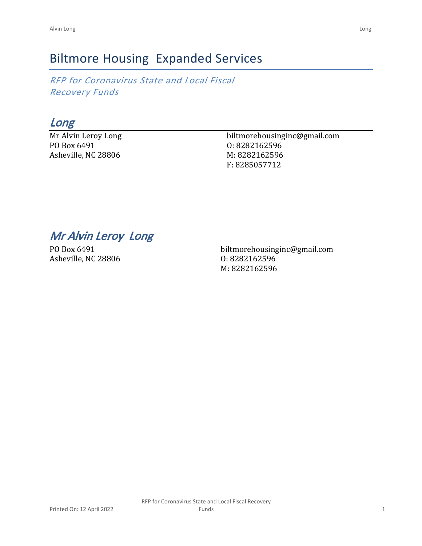# Biltmore Housing Expanded Services

*RFP for Coronavirus State and Local Fiscal Recovery Funds*

### *Long*

Mr Alvin Leroy Long PO Box 6491 Asheville, NC 28806

biltmorehousinginc@gmail.com O: 8282162596 M: 8282162596 F: 8285057712

## *Mr Alvin Leroy Long*

PO Box 6491 Asheville, NC 28806

biltmorehousinginc@gmail.com O: 8282162596 M: 8282162596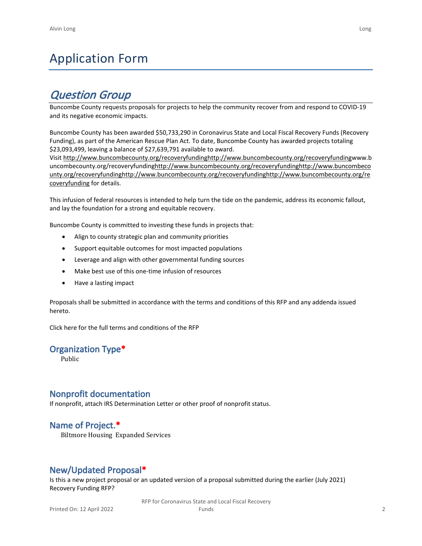# Application Form

### *Question Group*

Buncombe County requests proposals for projects to help the community recover from and respond to COVID-19 and its negative economic impacts.

Buncombe County has been awarded \$50,733,290 in Coronavirus State and Local Fiscal Recovery Funds (Recovery Funding), as part of the American Rescue Plan Act. To date, Buncombe County has awarded projects totaling \$23,093,499, leaving a balance of \$27,639,791 available to award.

Visit [http://www.buncombecounty.org/recoveryfundinghttp://www.buncombecounty.org/recoveryfundingwww.b](http://www.buncombecounty.org/recoveryfunding) [uncombecounty.org/recoveryfundinghttp://www.buncombecounty.org/recoveryfundinghttp://www.buncombeco](http://www.buncombecounty.org/recoveryfunding) [unty.org/recoveryfundinghttp://www.buncombecounty.org/recoveryfundinghttp://www.buncombecounty.org/re](http://www.buncombecounty.org/recoveryfunding) [coveryfunding](http://www.buncombecounty.org/recoveryfunding) for details.

This infusion of federal resources is intended to help turn the tide on the pandemic, address its economic fallout, and lay the foundation for a strong and equitable recovery.

Buncombe County is committed to investing these funds in projects that:

- Align to county strategic plan and community priorities
- Support equitable outcomes for most impacted populations
- Leverage and align with other governmental funding sources
- Make best use of this one-time infusion of resources
- Have a lasting impact

Proposals shall be submitted in accordance with the terms and conditions of this RFP and any addenda issued hereto.

Click [here](https://www.buncombecounty.org/common/purchasing/Buncombe%20Recovery%20Funding%20RFP%202022.pdf) for the full terms and conditions of the RFP

#### **Organization Type\***

Public

#### **Nonprofit documentation**

If nonprofit, attach IRS Determination Letter or other proof of nonprofit status.

#### **Name of Project.\***

Biltmore Housing Expanded Services

#### **New/Updated Proposal\***

Is this a new project proposal or an updated version of a proposal submitted during the earlier (July 2021) Recovery Funding RFP?

> RFP for Coronavirus State and Local Fiscal Recovery Funds 2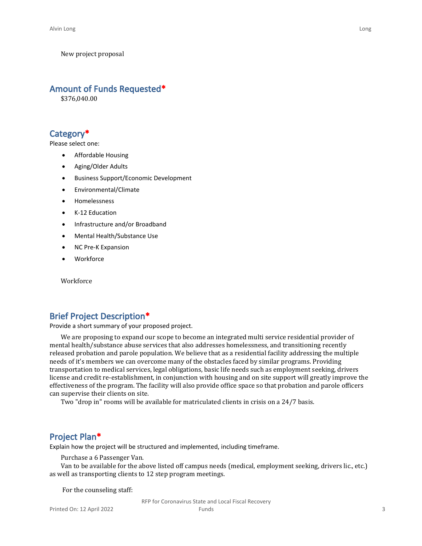New project proposal

#### **Amount of Funds Requested\***

\$376,040.00

#### **Category\***

Please select one:

- Affordable Housing
- Aging/Older Adults
- Business Support/Economic Development
- Environmental/Climate
- Homelessness
- K-12 Education
- Infrastructure and/or Broadband
- Mental Health/Substance Use
- NC Pre-K Expansion
- **Workforce**

**Workforce** 

#### **Brief Project Description\***

Provide a short summary of your proposed project.

We are proposing to expand our scope to become an integrated multi service residential provider of mental health/substance abuse services that also addresses homelessness, and transitioning recently released probation and parole population. We believe that as a residential facility addressing the multiple needs of it's members we can overcome many of the obstacles faced by similar programs. Providing transportation to medical services, legal obligations, basic life needs such as employment seeking, drivers license and credit re-establishment, in conjunction with housing and on site support will greatly improve the effectiveness of the program. The facility will also provide office space so that probation and parole officers can supervise their clients on site.

Two "drop in" rooms will be available for matriculated clients in crisis on a 24/7 basis.

#### **Project Plan\***

Explain how the project will be structured and implemented, including timeframe.

Purchase a 6 Passenger Van.

Van to be available for the above listed off campus needs (medical, employment seeking, drivers lic., etc.) as well as transporting clients to 12 step program meetings.

For the counseling staff: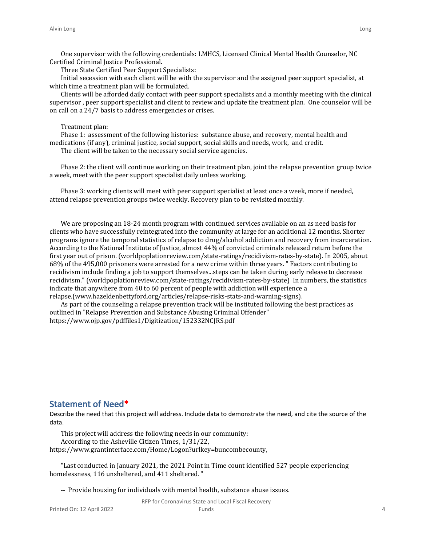One supervisor with the following credentials: LMHCS, Licensed Clinical Mental Health Counselor, NC Certified Criminal Justice Professional.

Three State Certified Peer Support Specialists:

Initial secession with each client will be with the supervisor and the assigned peer support specialist, at which time a treatment plan will be formulated.

Clients will be afforded daily contact with peer support specialists and a monthly meeting with the clinical supervisor , peer support specialist and client to review and update the treatment plan. One counselor will be on call on a 24/7 basis to address emergencies or crises.

#### Treatment plan:

Phase 1: assessment of the following histories: substance abuse, and recovery, mental health and medications (if any), criminal justice, social support, social skills and needs, work, and credit.

The client will be taken to the necessary social service agencies.

Phase 2: the client will continue working on their treatment plan, joint the relapse prevention group twice a week, meet with the peer support specialist daily unless working.

Phase 3: working clients will meet with peer support specialist at least once a week, more if needed, attend relapse prevention groups twice weekly. Recovery plan to be revisited monthly.

We are proposing an 18-24 month program with continued services available on an as need basis for clients who have successfully reintegrated into the community at large for an additional 12 months. Shorter programs ignore the temporal statistics of relapse to drug/alcohol addiction and recovery from incarceration. According to the National Institute of Justice, almost 44% of convicted criminals released return before the first year out of prison. (worldpoplationreview.com/state-ratings/recidivism-rates-by-state). In 2005, about 68% of the 495,000 prisoners were arrested for a new crime within three years. " Factors contributing to recidivism include finding a job to support themselves...steps can be taken during early release to decrease recidivism." (worldpoplationreview.com/state-ratings/recidivism-rates-by-state) In numbers, the statistics indicate that anywhere from 40 to 60 percent of people with addiction will experience a relapse.(www.hazeldenbettyford.org/articles/relapse-risks-stats-and-warning-signs).

As part of the counseling a relapse prevention track will be instituted following the best practices as outlined in "Relapse Prevention and Substance Abusing Criminal Offender" https://www.ojp.gov/pdffiles1/Digitization/152332NCJRS.pdf

#### **Statement of Need\***

Describe the need that this project will address. Include data to demonstrate the need, and cite the source of the data.

This project will address the following needs in our community:

According to the Asheville Citizen Times, 1/31/22,

https://www.grantinterface.com/Home/Logon?urlkey=buncombecounty,

"Last conducted in January 2021, the 2021 Point in Time count identified 527 people experiencing homelessness, 116 unsheltered, and 411 sheltered. "

-- Provide housing for individuals with mental health, substance abuse issues.

RFP for Coronavirus State and Local Fiscal Recovery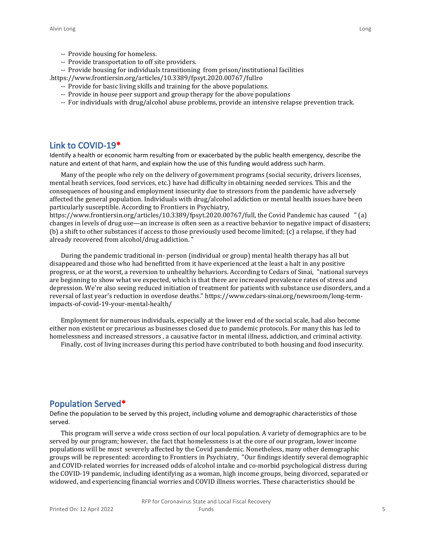- -- Provide housing for homeless.
- -- Provide transportation to off site providers.
- -- Provide housing for individuals transitioning from prison/institutional facilities
- .https://www.frontiersin.org/articles/10.3389/fpsyt.2020.00767/fullro
	- -- Provide for basic living skills and training for the above populations.
	- -- Provide in house peer support and group therapy for the above populations
	- -- For individuals with drug/alcohol abuse problems, provide an intensive relapse prevention track.

#### **Link to COVID-19\***

Identify a health or economic harm resulting from or exacerbated by the public health emergency, describe the nature and extent of that harm, and explain how the use of this funding would address such harm.

Many of the people who rely on the delivery of government programs (social security, drivers licenses, mental heath services, food services, etc.) have had difficulty in obtaining needed services. This and the consequences of housing and employment insecurity due to stressors from the pandemic have adversely affected the general population. Individuals with drug/alcohol addiction or mental health issues have been particularly susceptible. According to Frontiers in Psychiatry,

https://www.frontiersin.org/articles/10.3389/fpsyt.2020.00767/full, the Covid Pandemic has caused " (a) changes in levels of drug use—an increase is often seen as a reactive behavior to negative impact of disasters; (b) a shift to other substances if access to those previously used become limited; (c) a relapse, if they had already recovered from alcohol/drug addiction. "

During the pandemic traditional in- person (individual or group) mental health therapy has all but disappeared and those who had benefitted from it have experienced at the least a halt in any positive progress, or at the worst, a reversion to unhealthy behaviors. According to Cedars of Sinai, "national surveys are beginning to show what we expected, which is that there are increased prevalence rates of stress and depression. We're also seeing reduced initiation of treatment for patients with substance use disorders, and a reversal of last year's reduction in overdose deaths." https://www.cedars-sinai.org/newsroom/long-termimpacts-of-covid-19-your-mental-health/

Employment for numerous individuals, especially at the lower end of the social scale, had also become either non existent or precarious as businesses closed due to pandemic protocols. For many this has led to homelessness and increased stressors , a causative factor in mental illness, addiction, and criminal activity.

Finally, cost of living increases during this period have contributed to both housing and food insecurity.

#### **Population Served\***

Define the population to be served by this project, including volume and demographic characteristics of those served.

This program will serve a wide cross section of our local population. A variety of demographics are to be served by our program; however, the fact that homelessness is at the core of our program, lower income populations will be most severely affected by the Covid pandemic. Nonetheless, many other demographic groups will be represented: according to Frontiers in Psychiatry, "Our findings identify several demographic and COVID-related worries for increased odds of alcohol intake and co-morbid psychological distress during the COVID-19 pandemic, including identifying as a woman, high income groups, being divorced, separated or widowed, and experiencing financial worries and COVID illness worries. These characteristics should be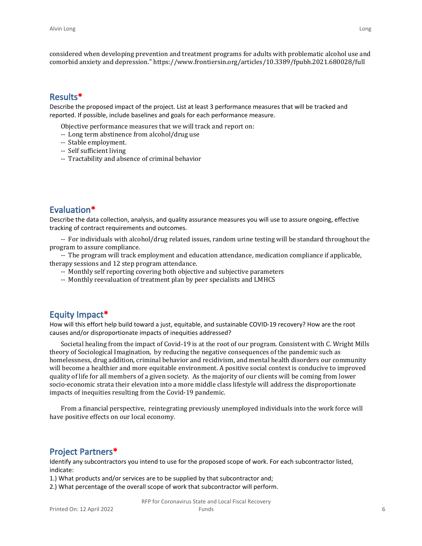considered when developing prevention and treatment programs for adults with problematic alcohol use and comorbid anxiety and depression." https://www.frontiersin.org/articles/10.3389/fpubh.2021.680028/full

#### **Results\***

Describe the proposed impact of the project. List at least 3 performance measures that will be tracked and reported. If possible, include baselines and goals for each performance measure.

Objective performance measures that we will track and report on:

- -- Long term abstinence from alcohol/drug use
- -- Stable employment.
- -- Self sufficient living
- -- Tractability and absence of criminal behavior

### **Evaluation\***

Describe the data collection, analysis, and quality assurance measures you will use to assure ongoing, effective tracking of contract requirements and outcomes.

-- For individuals with alcohol/drug related issues, random urine testing will be standard throughout the program to assure compliance.

-- The program will track employment and education attendance, medication compliance if applicable, therapy sessions and 12 step program attendance.

- -- Monthly self reporting covering both objective and subjective parameters
- -- Monthly reevaluation of treatment plan by peer specialists and LMHCS

#### **Equity Impact\***

How will this effort help build toward a just, equitable, and sustainable COVID-19 recovery? How are the root causes and/or disproportionate impacts of inequities addressed?

Societal healing from the impact of Covid-19 is at the root of our program. Consistent with C. Wright Mills theory of Sociological Imagination, by reducing the negative consequences of the pandemic such as homelessness, drug addition, criminal behavior and recidivism, and mental health disorders our community will become a healthier and more equitable environment. A positive social context is conducive to improved quality of life for all members of a given society. As the majority of our clients will be coming from lower socio-economic strata their elevation into a more middle class lifestyle will address the disproportionate impacts of inequities resulting from the Covid-19 pandemic.

From a financial perspective, reintegrating previously unemployed individuals into the work force will have positive effects on our local economy.

#### **Project Partners\***

Identify any subcontractors you intend to use for the proposed scope of work. For each subcontractor listed, indicate:

1.) What products and/or services are to be supplied by that subcontractor and;

2.) What percentage of the overall scope of work that subcontractor will perform.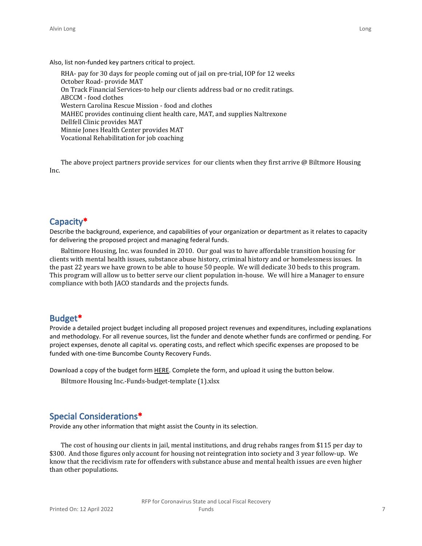Also, list non-funded key partners critical to project.

RHA- pay for 30 days for people coming out of jail on pre-trial, IOP for 12 weeks October Road- provide MAT On Track Financial Services-to help our clients address bad or no credit ratings. ABCCM - food clothes Western Carolina Rescue Mission - food and clothes MAHEC provides continuing client health care, MAT, and supplies Naltrexone Dellfell Clinic provides MAT Minnie Jones Health Center provides MAT Vocational Rehabilitation for job coaching

The above project partners provide services for our clients when they first arrive @ Biltmore Housing Inc.

#### **Capacity\***

Describe the background, experience, and capabilities of your organization or department as it relates to capacity for delivering the proposed project and managing federal funds.

Baltimore Housing, Inc. was founded in 2010. Our goal was to have affordable transition housing for clients with mental health issues, substance abuse history, criminal history and or homelessness issues. In the past 22 years we have grown to be able to house 50 people. We will dedicate 30 beds to this program. This program will allow us to better serve our client population in-house. We will hire a Manager to ensure compliance with both JACO standards and the projects funds.

#### **Budget\***

Provide a detailed project budget including all proposed project revenues and expenditures, including explanations and methodology. For all revenue sources, list the funder and denote whether funds are confirmed or pending. For project expenses, denote all capital vs. operating costs, and reflect which specific expenses are proposed to be funded with one-time Buncombe County Recovery Funds.

Download a copy of the budget form [HERE](https://buncombecounty.org/common/community-investment/grants/early-childhood-education/Recovery-Funds-budget-template.xlsx). Complete the form, and upload it using the button below.

Biltmore Housing Inc.-Funds-budget-template (1).xlsx

#### **Special Considerations\***

Provide any other information that might assist the County in its selection.

The cost of housing our clients in jail, mental institutions, and drug rehabs ranges from \$115 per day to \$300. And those figures only account for housing not reintegration into society and 3 year follow-up. We know that the recidivism rate for offenders with substance abuse and mental health issues are even higher than other populations.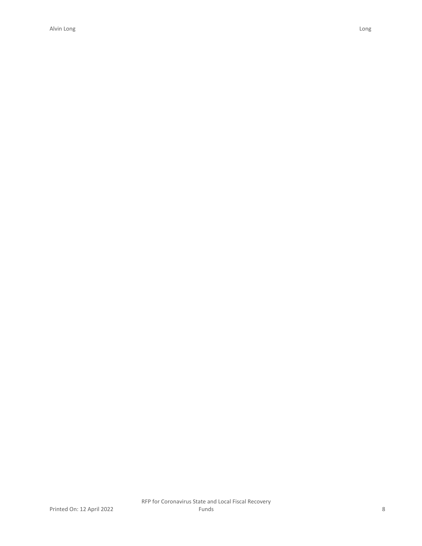Alvin Long Long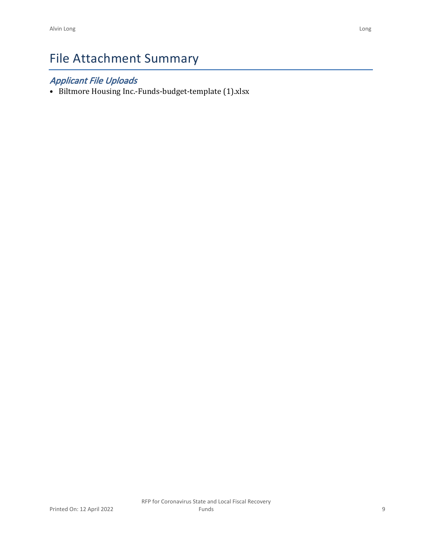# File Attachment Summary

### *Applicant File Uploads*

• Biltmore Housing Inc.-Funds-budget-template (1).xlsx